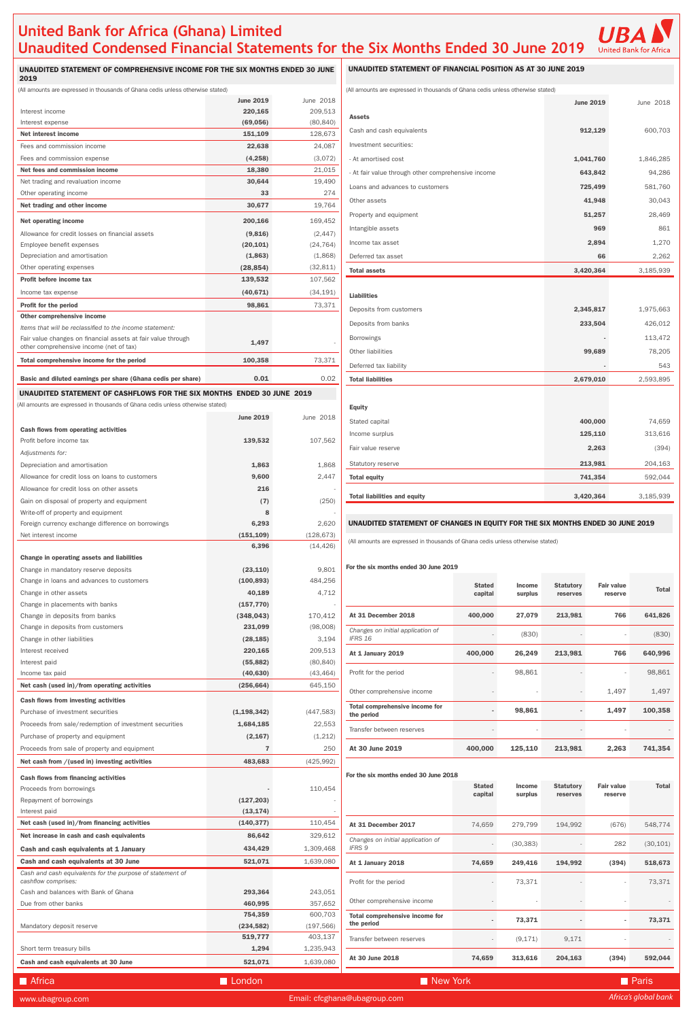## **United Bank for Africa (Ghana) Limited Unaudited Condensed Financial Statements for the Six Months Ended 30 June 2019**



UNAUDITED STATEMENT OF COMPREHENSIVE INCOME FOR THE SIX MONTHS ENDED 30 JUNE 2019

### UNAUDITED STATEMENT OF FINANCIAL POSITION AS AT 30 JUNE 2019

| amounts are expressed in thousands of Ghana cedis unless otherwise stated) |  |  |  |
|----------------------------------------------------------------------------|--|--|--|

#### UNAUDITED STATEMENT OF CHANGES IN EQUITY FOR THE SIX MONTHS ENDED 30 JUNE 2019

|                                                    | <b>June 2019</b> | June 2018 |
|----------------------------------------------------|------------------|-----------|
| <b>Assets</b>                                      |                  |           |
| Cash and cash equivalents                          | 912,129          | 600,703   |
| Investment securities:                             |                  |           |
| - At amortised cost                                | 1,041,760        | 1,846,285 |
| - At fair value through other comprehensive income | 643,842          | 94,286    |
| Loans and advances to customers                    | 725,499          | 581,760   |
| Other assets                                       | 41,948           | 30,043    |
| Property and equipment                             | 51,257           | 28,469    |
| Intangible assets                                  | 969              | 861       |
| Income tax asset                                   | 2,894            | 1,270     |
| Deferred tax asset                                 | 66               | 2,262     |
| <b>Total assets</b>                                | 3,420,364        | 3,185,939 |
|                                                    |                  |           |
| <b>Liabilities</b>                                 |                  |           |
| Deposits from customers                            | 2,345,817        | 1,975,663 |
| Deposits from banks                                | 233,504          | 426,012   |
| <b>Borrowings</b>                                  |                  | 113,472   |
| Other liabilities                                  | 99,689           | 78,205    |
| Deferred tax liability                             |                  | 543       |
| <b>Total liabilities</b>                           | 2,679,010        | 2,593,895 |
|                                                    |                  |           |

| Equity                              |           |           |
|-------------------------------------|-----------|-----------|
| Stated capital                      | 400,000   | 74,659    |
| Income surplus                      | 125,110   | 313,616   |
| Fair value reserve                  | 2,263     | (394)     |
| Statutory reserve                   | 213,981   | 204,163   |
| <b>Total equity</b>                 | 741,354   | 592,044   |
|                                     |           |           |
| <b>Total liabilities and equity</b> | 3,420,364 | 3,185,939 |

#### For the six months ended 30 June 2019

| www.ubagroup.com                                                                 |                      |                      | Email: cfcghana@ubagroup.com                        |               |               |                  |                   | Africa's global bank |
|----------------------------------------------------------------------------------|----------------------|----------------------|-----------------------------------------------------|---------------|---------------|------------------|-------------------|----------------------|
| Africa                                                                           | London               |                      | New York                                            |               |               |                  |                   | <b>Paris</b>         |
| Cash and cash equivalents at 30 June                                             | 521,071              | 1,639,080            | At 30 June 2018                                     | 74,659        | 313,616       | 204,163          | (394)             | 592,044              |
| Short term treasury bills                                                        | 1,294                | 1,235,943            |                                                     |               |               |                  |                   |                      |
|                                                                                  | 519,777              | 403,137              | Transfer between reserves                           |               | (9, 171)      | 9,171            |                   |                      |
| Mandatory deposit reserve                                                        | (234, 582)           | (197, 566)           | the period                                          |               | 73,371        |                  |                   | 73,371               |
|                                                                                  | 754,359              | 600,703              | Total comprehensive income for                      |               |               |                  |                   |                      |
| Cash and balances with Bank of Ghana<br>Due from other banks                     | 293,364<br>460,995   | 243,051<br>357,652   | Other comprehensive income                          |               |               |                  |                   |                      |
| Cash and cash equivalents for the purpose of statement of<br>cashflow comprises: |                      |                      | Profit for the period                               |               | 73,371        |                  |                   | 73,371               |
| Cash and cash equivalents at 30 June                                             | 521,071              | 1,639,080            | At 1 January 2018                                   | 74,659        | 249,416       | 194,992          | (394)             | 518,673              |
| Cash and cash equivalents at 1 January                                           | 434,429              | 1,309,468            | <b>IFRS 9</b>                                       |               | (30, 383)     |                  | 282               | (30, 101)            |
| Net increase in cash and cash equivalents                                        | 86,642               | 329,612              | Changes on initial application of                   |               |               |                  |                   |                      |
| Net cash (used in)/from financing activities                                     | (140, 377)           | 110,454              | At 31 December 2017                                 | 74,659        | 279,799       | 194,992          | (676)             | 548,774              |
| Interest paid                                                                    | (13, 174)            |                      |                                                     |               |               |                  |                   |                      |
| Repayment of borrowings                                                          | (127, 203)           |                      |                                                     | capital       | surplus       | reserves         | reserve           |                      |
| Proceeds from borrowings                                                         |                      | 110,454              |                                                     | <b>Stated</b> | <b>Income</b> | <b>Statutory</b> | Fair value        | <b>Total</b>         |
| <b>Cash flows from financing activities</b>                                      |                      |                      | For the six months ended 30 June 2018               |               |               |                  |                   |                      |
| Net cash from /(used in) investing activities                                    | 483,683              | (425, 992)           |                                                     |               |               |                  |                   |                      |
| Proceeds from sale of property and equipment                                     | $\overline{7}$       | 250                  | At 30 June 2019                                     | 400,000       | 125,110       | 213,981          | 2,263             | 741,354              |
| Purchase of property and equipment                                               | (2, 167)             | (1,212)              | Transfer between reserves                           |               |               |                  |                   |                      |
| Proceeds from sale/redemption of investment securities                           | 1,684,185            | 22,553               |                                                     |               |               |                  |                   |                      |
| Purchase of investment securities                                                | (1, 198, 342)        | (447, 583)           | <b>Total comprehensive income for</b><br>the period |               | 98,861        |                  | 1,497             | 100,358              |
| <b>Cash flows from investing activities</b>                                      |                      |                      | Other comprehensive income                          |               |               |                  | 1,497             | 1,497                |
| Net cash (used in)/from operating activities                                     | (256, 664)           | 645,150              |                                                     |               |               |                  |                   |                      |
| Income tax paid                                                                  | (40, 630)            | (43, 464)            | Profit for the period                               |               | 98,861        |                  |                   | 98,861               |
| Interest received<br>Interest paid                                               | 220,165<br>(55, 882) | 209,513<br>(80, 840) | At 1 January 2019                                   | 400,000       | 26,249        | 213,981          | 766               | 640,996              |
| Change in other liabilities                                                      | (28, 185)            | 3,194                |                                                     |               |               |                  |                   |                      |
| Change in deposits from customers                                                | 231,099              | (98,008)             | Changes on initial application of<br>IFRS 16        |               | (830)         |                  |                   | (830)                |
| Change in deposits from banks                                                    | (348, 043)           | 170,412              | At 31 December 2018                                 | 400,000       | 27,079        | 213,981          | 766               | 641,826              |
| Change in placements with banks                                                  | (157, 770)           |                      |                                                     |               |               |                  |                   |                      |
| Change in other assets                                                           | 40,189               | 4,712                |                                                     | capital       | surplus       | reserves         | reserve           |                      |
| Change in loans and advances to customers                                        | (100, 893)           | 484,256              |                                                     | <b>Stated</b> | <b>Income</b> | <b>Statutory</b> | <b>Fair value</b> | <b>Total</b>         |

| (All amounts are expressed in thousands of Ghana cedis unless otherwise stated) |                  |            | (All amounts are expressed in thousands of Ghana cedis unless otherwise stated) |               |               |  |
|---------------------------------------------------------------------------------|------------------|------------|---------------------------------------------------------------------------------|---------------|---------------|--|
|                                                                                 | <b>June 2019</b> | June 2018  |                                                                                 |               |               |  |
| Interest income                                                                 | 220,165          | 209,513    | <b>Assets</b>                                                                   |               |               |  |
| Interest expense                                                                | (69,056)         | (80, 840)  |                                                                                 |               |               |  |
| <b>Net interest income</b>                                                      | 151,109          | 128,673    | Cash and cash equivalents                                                       |               |               |  |
| Fees and commission income                                                      | 22,638           | 24,087     | Investment securities:                                                          |               |               |  |
| Fees and commission expense                                                     | (4,258)          | (3,072)    | - At amortised cost                                                             |               |               |  |
| Net fees and commission income                                                  | 18,380           | 21,015     | - At fair value through other comprehensive income                              |               |               |  |
| Net trading and revaluation income.                                             | 30,644           | 19,490     | Loans and advances to customers                                                 |               |               |  |
| Other operating income                                                          | 33               | 274        |                                                                                 |               |               |  |
| Net trading and other income                                                    | 30,677           | 19,764     | Other assets                                                                    |               |               |  |
| Net operating income                                                            | 200,166          | 169,452    | Property and equipment                                                          |               |               |  |
| Allowance for credit losses on financial assets                                 | (9,816)          | (2, 447)   | Intangible assets                                                               |               |               |  |
| Employee benefit expenses                                                       | (20, 101)        | (24, 764)  | Income tax asset                                                                |               |               |  |
| Depreciation and amortisation                                                   | (1,863)          | (1,868)    | Deferred tax asset                                                              |               |               |  |
| Other operating expenses                                                        | (28, 854)        | (32, 811)  | <b>Total assets</b>                                                             |               |               |  |
| <b>Profit before income tax</b>                                                 | 139,532          | 107,562    |                                                                                 |               |               |  |
| Income tax expense                                                              | (40, 671)        | (34, 191)  | <b>Liabilities</b>                                                              |               |               |  |
| <b>Profit for the period</b>                                                    | 98,861           | 73,371     |                                                                                 |               |               |  |
| Other comprehensive income                                                      |                  |            | Deposits from customers                                                         |               |               |  |
| Items that will be reclassified to the income statement:                        |                  |            | Deposits from banks                                                             |               |               |  |
| Fair value changes on financial assets at fair value through                    | 1,497            |            | <b>Borrowings</b>                                                               |               |               |  |
| other comprehensive income (net of tax)                                         |                  |            | Other liabilities                                                               |               |               |  |
| Total comprehensive income for the period                                       | 100,358          | 73,371     | Deferred tax liability                                                          |               |               |  |
| Basic and diluted earnings per share (Ghana cedis per share)                    | 0.01             | 0.02       | <b>Total liabilities</b>                                                        |               |               |  |
| UNAUDITED STATEMENT OF CASHFLOWS FOR THE SIX MONTHS ENDED 30 JUNE 2019          |                  |            |                                                                                 |               |               |  |
| (All amounts are expressed in thousands of Ghana cedis unless otherwise stated) |                  |            | <b>Equity</b>                                                                   |               |               |  |
|                                                                                 | <b>June 2019</b> | June 2018  |                                                                                 |               |               |  |
| <b>Cash flows from operating activities</b>                                     |                  |            | Stated capital                                                                  |               |               |  |
| Profit before income tax                                                        | 139,532          | 107,562    | Income surplus                                                                  |               |               |  |
| Adjustments for:                                                                |                  |            | Fair value reserve                                                              |               |               |  |
| Depreciation and amortisation                                                   | 1,863            | 1,868      | Statutory reserve                                                               |               |               |  |
| Allowance for credit loss on loans to customers                                 | 9,600            | 2,447      | <b>Total equity</b>                                                             |               |               |  |
| Allowance for credit loss on other assets                                       | 216              |            |                                                                                 |               |               |  |
| Gain on disposal of property and equipment                                      | (7)              | (250)      | <b>Total liabilities and equity</b>                                             |               |               |  |
| Write-off of property and equipment                                             | 8                |            |                                                                                 |               |               |  |
| Foreign currency exchange difference on borrowings                              | 6,293            | 2,620      | UNAUDITED STATEMENT OF CHANGES IN EQUITY FOR THE SIX IN                         |               |               |  |
| Net interest income                                                             | (151, 109)       | (128, 673) |                                                                                 |               |               |  |
|                                                                                 | 6,396            | (14, 426)  | (All amounts are expressed in thousands of Ghana cedis unless otherwise stated  |               |               |  |
| Change in operating assets and liabilities                                      |                  |            |                                                                                 |               |               |  |
| Change in mandatory reserve deposits                                            | (23, 110)        | 9,801      | For the six months ended 30 June 2019                                           |               |               |  |
| Change in loans and advances to customers                                       | (100, 893)       | 484,256    |                                                                                 | <b>Stated</b> | <b>Income</b> |  |
| Change in other assets                                                          | 40,189           | 4,712      |                                                                                 | capital       | surplus       |  |
| Change in placements with banks                                                 | (157, 770)       |            |                                                                                 |               |               |  |
| Change in deposits from banks                                                   | (348, 043)       | 170,412    | At 31 December 2018                                                             | 400,000       | 27,079        |  |
| Change in deposits from customers                                               | 231,099          | (98,008)   | Changes on initial application of                                               |               |               |  |
| Change in other liabilities                                                     | (28, 185)        | 3,194      | IFRS 16                                                                         |               | (830)         |  |
| Interest received                                                               | 220,165          | 209,513    | At 1 January 2019                                                               | 400,000       | 26,249        |  |
| Interest paid                                                                   | (55, 882)        | (80, 840)  |                                                                                 |               |               |  |
| Income tax paid                                                                 | (40, 630)        | (43, 464)  | Profit for the period                                                           |               | 98,861        |  |
| Net cash (used in)/from operating activities                                    | (256, 664)       | 645,150    |                                                                                 |               |               |  |
| <b>Cash flows from investing activities</b>                                     |                  |            | Other comprehensive income                                                      |               |               |  |
| Purchase of investment securities                                               | (1, 198, 342)    | (447, 583) | Total comprehensive income for<br>the period                                    |               | 98,861        |  |
| Proceeds from sale/redemption of investment securities                          | 1,684,185        | 22,553     |                                                                                 |               |               |  |
|                                                                                 |                  |            | Transfer between reserves                                                       |               |               |  |